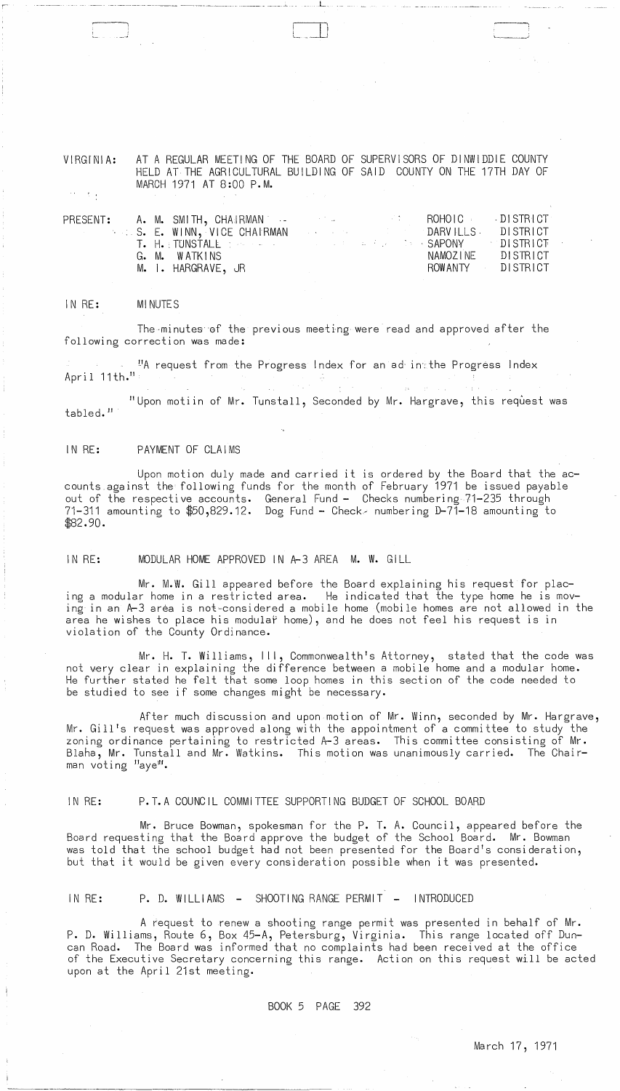AT A REGULAR MEETING OF THE BOARD OF SUPERVISORS OF DINWIDDIE COUNTY VIRGINIA: HELD AT THE AGRICULTURAL BUILDING OF SAID COUNTY ON THE 17TH DAY OF MARCH 1971 AT 8:00 P.M.

 $\mathcal{X}$  .

|  |                                                      |  |                                      | ROHOIC DISTRICT   |
|--|------------------------------------------------------|--|--------------------------------------|-------------------|
|  | . S. E. WINN, VICE CHAIRMAN                          |  | Experience of the CDARVILLS DISTRICT |                   |
|  | T. H. TUNSTALE IN SERVICE IN THE RESIDENCE OF SAPONY |  |                                      | <b>DISTRICT</b>   |
|  | G. M. WATKINS                                        |  |                                      | NAMOZINE DISTRICT |
|  | M. I. HARGRAVE, JR                                   |  |                                      | ROWANTY DISTRICT  |
|  |                                                      |  |                                      |                   |

#### IN RE: **MINUTES**

The minutes of the previous meeting were read and approved after the following correction was made:

"A request from the Progress Index for an ad intthe Progress Index April  $11th.$ <sup>11</sup>

"Upon motiin of Mr. Tunstall, Seconded by Mr. Hargrave, this request was tabled."

## IN RE: PAYMENT OF CLAIMS

Upon motion duly made and carried it is ordered by the Board that the accounts against the following funds for the month of February 1971 be issued payable out of the respective accounts. General Fund - Checks numbering 71-235 through 71-311 amounting to \$50,829.12. Dog Fund - Check - numbering D-71-18 amounting to  $$82.90.$ 

IN RE: MODULAR HOME APPROVED IN A-3 AREA M. W. GILL

Mr. M.W. Gill appeared before the Board explaining his request for placing a modular home in a restricted area. He indicated that the type home he is moving in an A-3 area is not-considered a mobile home (mobile homes are not allowed in the area he wishes to place his modular home), and he does not feel his request is in violation of the County Ordinance.

Mr. H. T. Williams, III, Commonwealth's Attorney, stated that the code was not very clear in explaining the difference between a mobile home and a modular home. He further stated he felt that some loop homes in this section of the code needed to be studied to see if some changes might be necessary.

After much discussion and upon motion of Mr. Winn, seconded by Mr. Hargrave, Mr. Gill's request was approved along with the appointment of a committee to study the zoning ordinance pertaining to restricted A-3 areas. This committee consisting of Mr. Blaha, Mr. Tunstall and Mr. Watkins. This motion was unanimously carried. The Chairman voting "aye".

#### IN RE: P.T.A COUNCIL COMMITTEE SUPPORTING BUDGET OF SCHOOL BOARD

Mr. Bruce Bowman, spokesman for the P. T. A. Council, appeared before the Board requesting that the Board approve the budget of the School Board. Mr. Bowman was told that the school budget had not been presented for the Board's consideration, but that it would be given every consideration possible when it was presented.

#### IN RE: SHOOTING RANGE PERMIT **INTRODUCED**  $P.$  D. WILLIAMS  $-$

A request to renew a shooting range permit was presented in behalf of Mr. P. D. Williams, Route 6, Box 45-A, Petersburg, Virginia. This range located off Duncan Road. The Board was informed that no complaints had been received at the office of the Executive Secretary concerning this range. Action on this request will be acted upon at the April 21st meeting.

> BOOK 5 PAGE - 392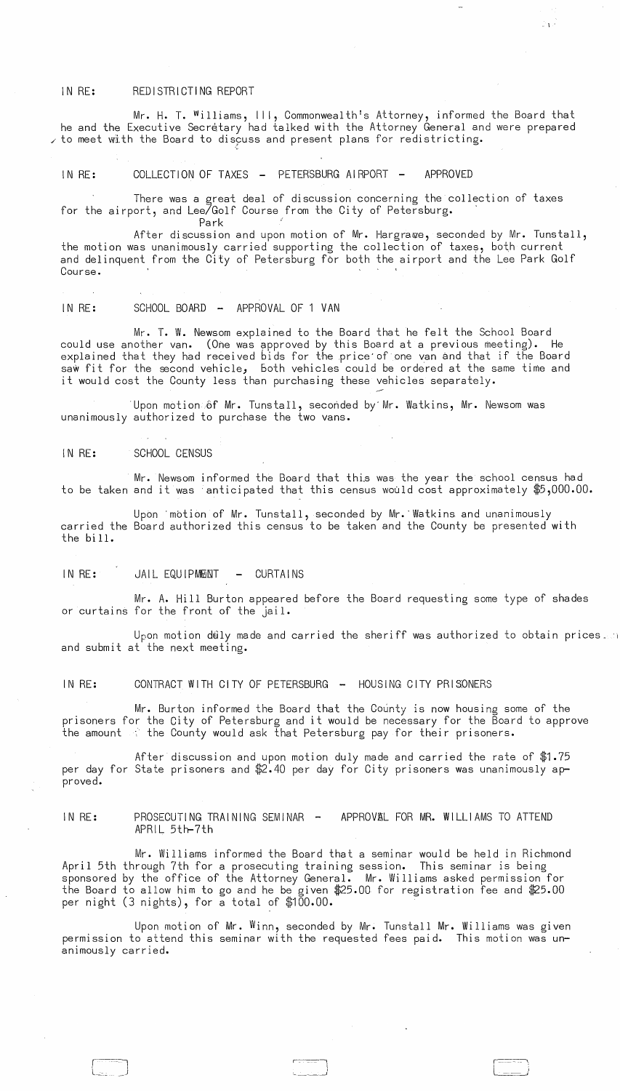## IN RE: REDISTRICTING REPORT

Mr. H. T. Williams, III, Commonwealth's Attorney, informed the Board that he and the Executive Secretary had talked with the Attorney General and were prepared  $\checkmark$  to meet with the Board to discuss and present plans for redistricting.

 $\mathbb{P}[\mathbf{t}]$ 

# IN RE: COLLECTION OF TAXES - PETERSBURG AIRPORT - APPROVED

There was a great deal of discussion concerning the collection of taxes for the airport, and Lee/Golf Course from the City of Petersburg.

Park After discussion and upon motion of Mr. Hargrawe, seconded by Mr. Tunstall, the motion was unanimously carried supporting the collection of taxes, both current and delinquent from the City of Petersburg for both the airport and the Lee Park Golf<br>Course. Course. The contract of the contract of the contract of the contract of the contract of the contract of the contract of the contract of the contract of the contract of the contract of the contract of the contract of the co

IN RE: SCHOOL BOARD - APPROVAL OF 1 VAN

Mr. T. W. Newsom explained to the Board that he felt the School Board could use another van. (One was approved by this Board at a previous meeting). He explained that they had received bids for the price of one van and that if the Board saw fit for the second vehicle, both vehicles could be ordered at the same time and it would cost the County less than purchasing these vehicles separately.

Upon motion of Mr. Tunstall, seconded by Mr. Watkins, Mr. Newsom was unanimously authorized to purchase the two vans.

IN RE: SCHOOL CENSUS

Mr. Newsom informed the Board that this was the year the school census had to be taken and it was anticipated that this census would cost approximately \$5,000.00.

Upon 'motion of Mr. Tunstall, seconded by Mr. "Watkins and unanimously carried the Board authorized this census to be taken and the County be presented with the bill.

IN RE: JAIL EQUIPMENT - CURTAINS

Mr. A. Hill Burton appeared before the Board requesting some type of shades or curtains for the front of the Jail.

Upon motion duly made and carried the sheriff was authorized to obtain prices.  $\Box$ and submit at the next meeting.

IN RE: CONTRACT WITH CITY OF PETERSBURG - HOUSING CITY PRISONERS

Mr. Burton informed the Board that the County is now housing some of the prisoners for the City of Petersburg and it would be necessary for the Board to approve the amount at the County would ask that Petersburg pay for their prisoners.

After discussion and upon motion duly made and carried the rate of \$1.75 per day for State prisoners and \$2.40 per day for City prisoners was unanimously approved.

IN RE: PROSECUTING TRAINING SEMINAR - APPROVAL FOR MR. WILLIAMS TO ATTEND<br>APRIL 5th-7th

Mr. Williams informed the Board that a seminar would be held in Richmond April 5th through 7th for a prosecuting training session. This seminar is being sponsored by the office of the Attorney General. Mr. Williams asked permission for the Board to allow him to go and he be given \$25.00 for registration fee and \$25.00 per night (3 nights), for a total of \$100.00.

Upon motion of Mr. Winn, seconded by Mr. Tunstall Mr. Williams was given permission to attend this seminar with the requested fees paid. This motion was unanimously carried.

~. \_\_\_ --1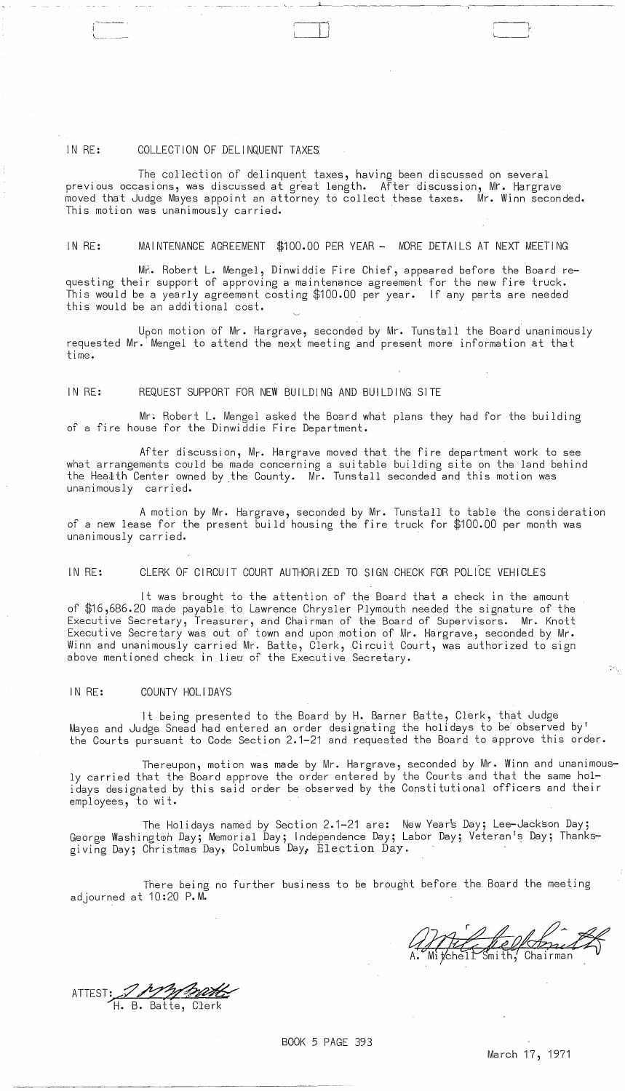## IN RE: COLLECTION OF DELINQUENT TAXES

! "-~------

The collection of delinquent taxes, having been discussed on several previous occasions, was discussed at great length. After discussion, Mr. Hargrave moved that Judge Mayes appoint an attorney to collect these taxes. Mr. Winn seconded. This motion was unanimously carried.

c \_ \_~~\_~ \_\_\_\_ \_

 $\Box$ 

## IN RE: MAINTENANCE AGREEMENT \$100.00 PER YEAR - MORE DETAILS AT NEXT MEETING

MR. Robert L. Mengel, Dinwiddie Fire Chief, appeared before the Board requesting their support of approving a maintenance agreement for the new fire truck. This would be a yearly agreement costing  $$100.00$  per year. If any parts are needed this would be an additional cost.

Upon motion of Mr. Hargrave, seconded by Mr. Tunstall the Board unanimously requested Mr. Mengel to attend the next meeting and present more information at that time.

# IN RE: REQUEST SUPPORT FOR NEW BUILDING AND BUILDING SITE

Mr: Robert L. Mengel asked the Board what plans they had for the building of a fire house for the Dinwiddie Fire Department.

After discussion, Mr. Hargrave moved that the fire department work to see what arrangements could be made concerning a suitable building site on the land behind the Heatth Center owned by the County. Mr. Tunstall seconded and this motion was unanimously carried.

A motion by Mr. Hargrave, seconded by Mr. Tunstall to table the consideration of a new lease for the present build housing the fire truck for \$100.00 per month was unanimously carried.

IN RE: CLERK OF CIRCUIT COURT AUTHORIZED TO SIGN CHECK FOR POLICE VEHICLES

It was brought to the attention of the Board that a check in the amount of \$16,686.20 made payable to Lawrence Chrysler Plymouth needed the signature of the Executive Secretary, Treasurer, and Chairman of the Board of Supervisors. Mr. Knott Executive Secretary was out of town and upon motion of Mr. Hargrave, seconded by Mr. Winn and unanimously carried Mr. Batte, Clerk, Circuit Court, was authorized to sign above mentioned check in liew of the Executive Secretary.

## IN RE: COUNTY HOLIDAYS

It being presented to the Board by H. Barner Batte, Clerk, that Judge Mayes and Judge Snead had entered an order designating the holidays to be observed by' the Courts pursuant to Code Section 2.1-21 and requested the Board to approve this order.

Thereupon, motion was made by Mr. Hargrave, seconded by Mr. Winn and unanimously carried that the Board approve the order entered by the Courts and that the same holidays designated by this said order be observed by the Constitutional officers and their employees, to wit.

The Holidays named by Section 2.1-21 are: New Year's Day; Lee-Jackson Day; George Washington Day; Memorial Day; Independence Day; Labor Day; Veteran's Day; Thanksgiving Day; Christmas Day, Columbus Day,. Election Day.

There being no further business to be brought before the Board the meeting adjourned at 10:20 P.M.

 $\cdot$ I'~